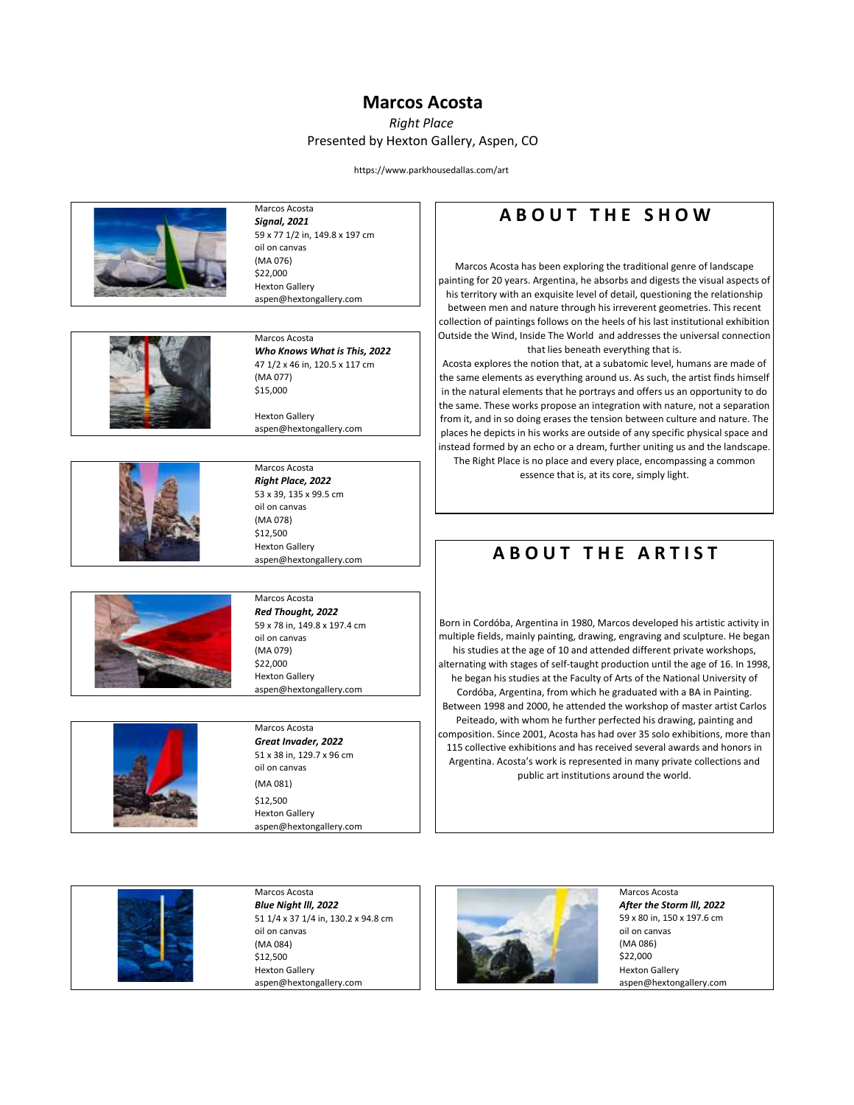#### **Marcos Acosta**

*Right Place* Presented by Hexton Gallery, Aspen, CO

https://www.parkhousedallas.com/art



Marcos Acosta *Signal, 2021* 59 x 77 1/2 in, 149.8 x 197 cm oil on canvas (MA 076) \$22,000 Hexton Gallery aspen@hextongallery.com



Marcos Acosta *Who Knows What is This, 2022* 47 1/2 x 46 in, 120.5 x 117 cm (MA 077) \$15,000 Hexton Gallery

aspen@hextongallery.com



Marcos Acosta *Right Place, 2022* 53 x 39, 135 x 99.5 cm oil on canvas (MA 078) \$12,500 Hexton Gallery aspen@hextongallery.com



Marcos Acosta *Red Thought, 2022* 59 x 78 in, 149.8 x 197.4 cm oil on canvas (MA 079) \$22,000 Hexton Gallery

aspen@hextongallery.com



#### Marcos Acosta *Great Invader, 2022* 51 x 38 in, 129.7 x 96 cm oil on canvas (MA 081)

\$12,500 Hexton Gallery aspen@hextongallery.com

## **A B O U T T H E S H O W**

Marcos Acosta has been exploring the traditional genre of landscape painting for 20 years. Argentina, he absorbs and digests the visual aspects of his territory with an exquisite level of detail, questioning the relationship between men and nature through his irreverent geometries. This recent collection of paintings follows on the heels of his last institutional exhibition Outside the Wind, Inside The World and addresses the universal connection that lies beneath everything that is.

Acosta explores the notion that, at a subatomic level, humans are made of the same elements as everything around us. As such, the artist finds himself in the natural elements that he portrays and offers us an opportunity to do the same. These works propose an integration with nature, not a separation from it, and in so doing erases the tension between culture and nature. The places he depicts in his works are outside of any specific physical space and instead formed by an echo or a dream, further uniting us and the landscape. The Right Place is no place and every place, encompassing a common

essence that is, at its core, simply light.

# **A B O UT THE ARTIST**

Born in Cordóba, Argentina in 1980, Marcos developed his artistic activity in multiple fields, mainly painting, drawing, engraving and sculpture. He began his studies at the age of 10 and attended different private workshops, alternating with stages of self-taught production until the age of 16. In 1998, he began his studies at the Faculty of Arts of the National University of Cordóba, Argentina, from which he graduated with a BA in Painting. Between 1998 and 2000, he attended the workshop of master artist Carlos Peiteado, with whom he further perfected his drawing, painting and composition. Since 2001, Acosta has had over 35 solo exhibitions, more than 115 collective exhibitions and has received several awards and honors in Argentina. Acosta's work is represented in many private collections and public art institutions around the world.



51 1/4 x 37 1/4 in, 130.2 x 94.8 cm (MA 084) \$12,500



59 x 80 in, 150 x 197.6 cm (MA 086) \$22,000